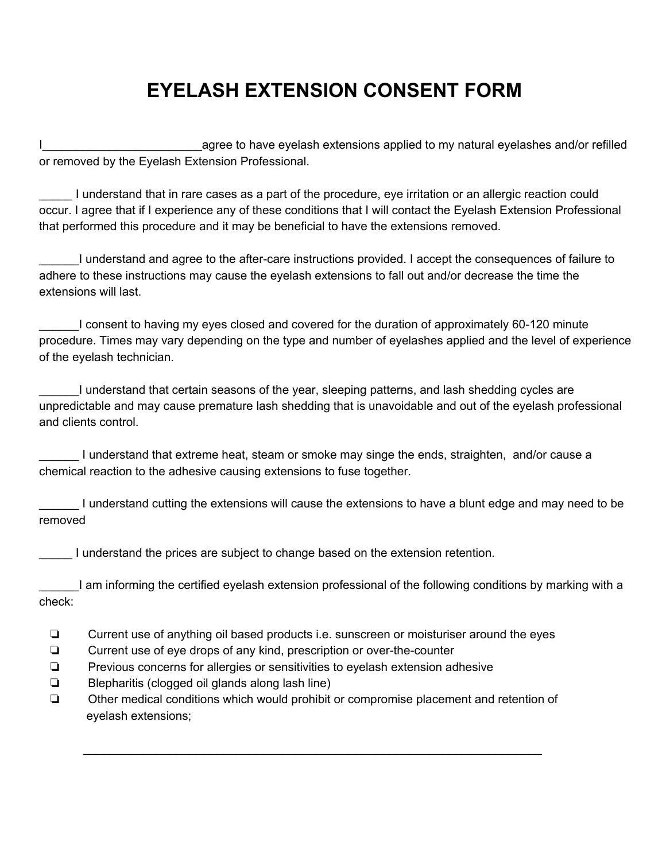## **EYELASH EXTENSION CONSENT FORM**

I\_\_\_\_\_\_\_\_\_\_\_\_\_\_\_\_\_\_\_\_\_\_\_\_agree to have eyelash extensions applied to my natural eyelashes and/or refilled or removed by the Eyelash Extension Professional.

\_\_\_\_\_ I understand that in rare cases as a part of the procedure, eye irritation or an allergic reaction could occur. I agree that if I experience any of these conditions that I will contact the Eyelash Extension Professional that performed this procedure and it may be beneficial to have the extensions removed.

\_\_\_\_\_\_I understand and agree to the after-care instructions provided. I accept the consequences of failure to adhere to these instructions may cause the eyelash extensions to fall out and/or decrease the time the extensions will last.

\_\_\_\_\_\_I consent to having my eyes closed and covered for the duration of approximately 60-120 minute procedure. Times may vary depending on the type and number of eyelashes applied and the level of experience of the eyelash technician.

\_\_\_\_\_\_I understand that certain seasons of the year, sleeping patterns, and lash shedding cycles are unpredictable and may cause premature lash shedding that is unavoidable and out of the eyelash professional and clients control.

\_\_\_\_\_\_ I understand that extreme heat, steam or smoke may singe the ends, straighten, and/or cause a chemical reaction to the adhesive causing extensions to fuse together.

\_\_\_\_\_\_ I understand cutting the extensions will cause the extensions to have a blunt edge and may need to be removed

\_\_\_\_\_ I understand the prices are subject to change based on the extension retention.

I am informing the certified eyelash extension professional of the following conditions by marking with a check:

❏ Current use of anything oil based products i.e. sunscreen or moisturiser around the eyes

- ❏ Current use of eye drops of any kind, prescription or over-the-counter
- ❏ Previous concerns for allergies or sensitivities to eyelash extension adhesive
- ❏ Blepharitis (clogged oil glands along lash line)
- ❏ Other medical conditions which would prohibit or compromise placement and retention of eyelash extensions;

\_\_\_\_\_\_\_\_\_\_\_\_\_\_\_\_\_\_\_\_\_\_\_\_\_\_\_\_\_\_\_\_\_\_\_\_\_\_\_\_\_\_\_\_\_\_\_\_\_\_\_\_\_\_\_\_\_\_\_\_\_\_\_\_\_\_\_\_\_